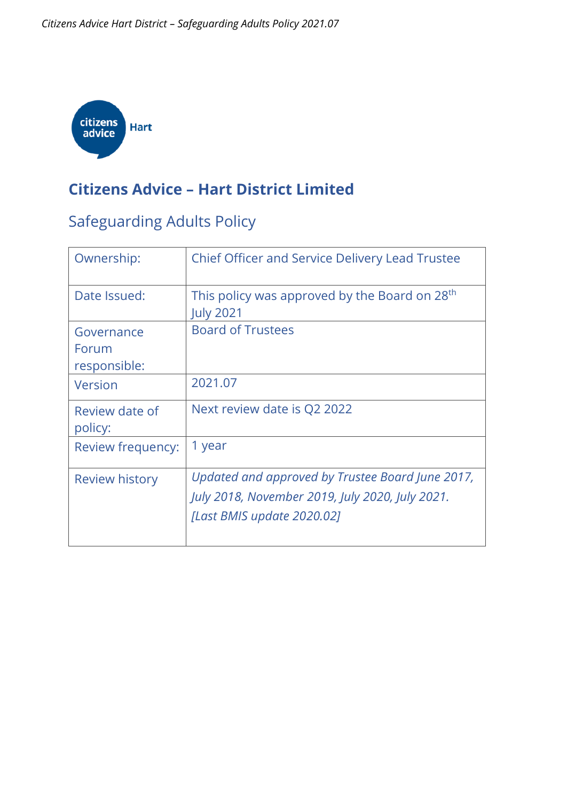

#### **Citizens Advice – Hart District Limited**

#### Safeguarding Adults Policy

| Ownership:                          | <b>Chief Officer and Service Delivery Lead Trustee</b>                                                                            |
|-------------------------------------|-----------------------------------------------------------------------------------------------------------------------------------|
| Date Issued:                        | This policy was approved by the Board on 28 <sup>th</sup><br><b>July 2021</b>                                                     |
| Governance<br>Forum<br>responsible: | <b>Board of Trustees</b>                                                                                                          |
| Version                             | 2021.07                                                                                                                           |
| Review date of<br>policy:           | Next review date is Q2 2022                                                                                                       |
| Review frequency:                   | 1 year                                                                                                                            |
| <b>Review history</b>               | Updated and approved by Trustee Board June 2017,<br>July 2018, November 2019, July 2020, July 2021.<br>[Last BMIS update 2020.02] |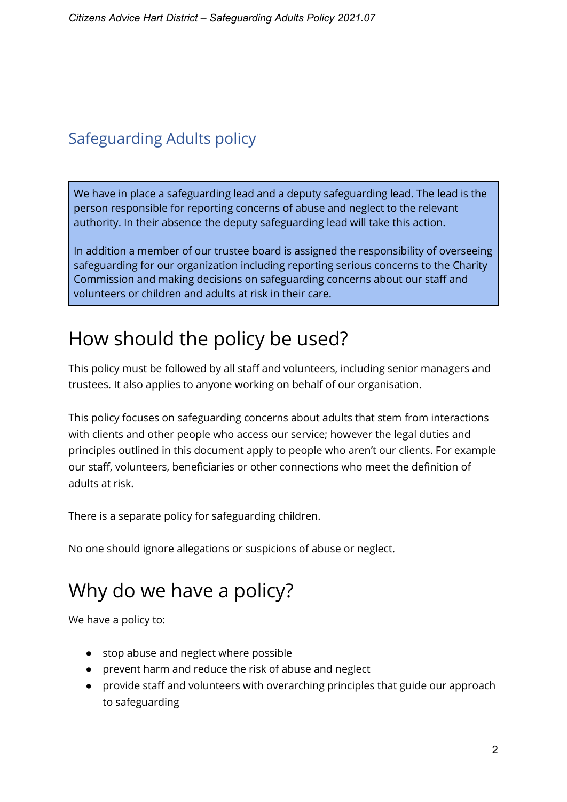#### Safeguarding Adults policy

We have in place a safeguarding lead and a deputy safeguarding lead. The lead is the person responsible for reporting concerns of abuse and neglect to the relevant authority. In their absence the deputy safeguarding lead will take this action.

In addition a member of our trustee board is assigned the responsibility of overseeing safeguarding for our organization including reporting serious concerns to the Charity Commission and making decisions on safeguarding concerns about our staff and volunteers or children and adults at risk in their care.

#### How should the policy be used?

This policy must be followed by all staff and volunteers, including senior managers and trustees. It also applies to anyone working on behalf of our organisation.

This policy focuses on safeguarding concerns about adults that stem from interactions with clients and other people who access our service; however the legal duties and principles outlined in this document apply to people who aren't our clients. For example our staff, volunteers, beneficiaries or other connections who meet the definition of adults at risk.

There is a separate policy for safeguarding children.

No one should ignore allegations or suspicions of abuse or neglect.

## Why do we have a policy?

We have a policy to:

- stop abuse and neglect where possible
- prevent harm and reduce the risk of abuse and neglect
- provide staff and volunteers with overarching principles that guide our approach to safeguarding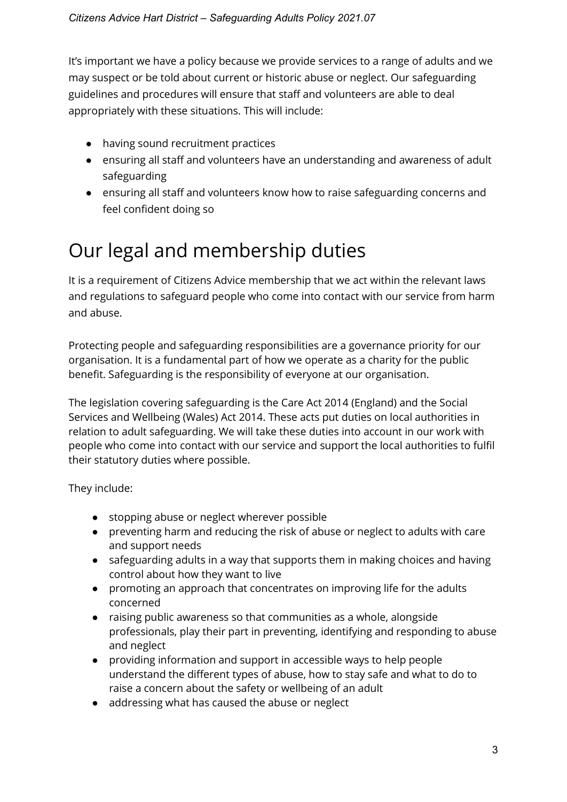It's important we have a policy because we provide services to a range of adults and we may suspect or be told about current or historic abuse or neglect. Our safeguarding guidelines and procedures will ensure that staff and volunteers are able to deal appropriately with these situations. This will include:

- having sound recruitment practices
- ensuring all staff and volunteers have an understanding and awareness of adult safeguarding
- ensuring all staff and volunteers know how to raise safeguarding concerns and feel confident doing so

# Our legal and membership duties

It is a requirement of Citizens Advice membership that we act within the relevant laws and regulations to safeguard people who come into contact with our service from harm and abuse.

Protecting people and safeguarding responsibilities are a governance priority for our organisation. It is a fundamental part of how we operate as a charity for the public benefit. Safeguarding is the responsibility of everyone at our organisation.

The legislation covering safeguarding is the Care Act 2014 (England) and the Social Services and Wellbeing (Wales) Act 201[4. T](https://www.citizensadvice.org.uk/bmis/Client-services/Client-protection-and-confidentiality/Safeguarding-adults-guidelines-and-model-policy/#top)hese acts put duties on local authorities in relation to adult safeguarding. We will take these duties into account in our work with people who come into contact with our service and support the local authorities to fulfil their statutory duties where possible.

They include:

- stopping abuse or neglect wherever possible
- preventing harm and reducing the risk of abuse or neglect to adults with care and support needs
- safeguarding adults in a way that supports them in making choices and having control about how they want to live
- promoting an approach that concentrates on improving life for the adults concerned
- raising public awareness so that communities as a whole, alongside professionals, play their part in preventing, identifying and responding to abuse and neglect
- providing information and support in accessible ways to help people understand the different types of abuse, how to stay safe and what to do to raise a concern about the safety or wellbeing of an adult
- addressing what has caused the abuse or neglect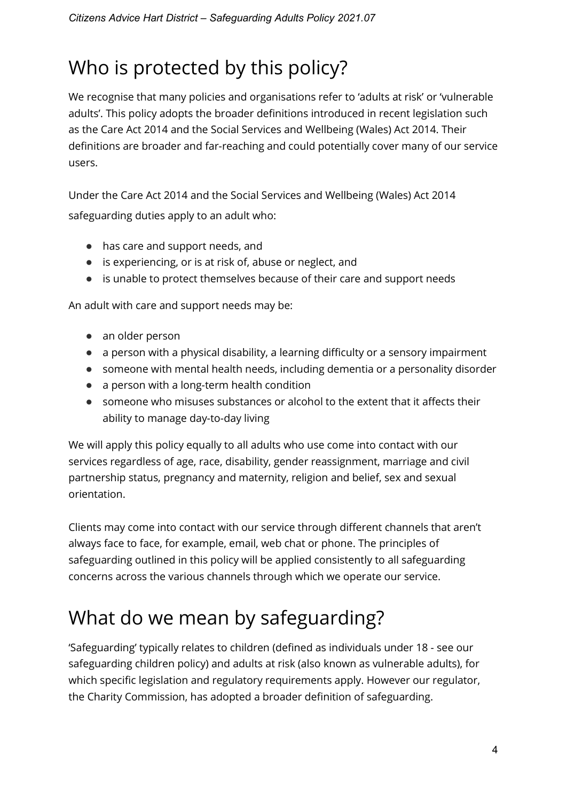# Who is protected by this policy?

We recognise that many policies and organisations refer to 'adults at risk' or 'vulnerable adults'. This policy adopts the broader definitions introduced in recent legislation such as the Care Act 2014 and the Social Services and Wellbeing (Wales) Act 2014. Their definitions are broader and far-reaching and could potentially cover many of our service users.

Under the Care Act 2014 and the Social Services and Wellbeing (Wales) Act 2014 safeguarding duties apply to an adult who:

- has care and support needs, and
- is experiencing, or is at risk of, abuse or neglect, and
- is unable to protect themselves because of their care and support needs

An adult with care and support needs may be:

- an older person
- a person with a physical disability, a learning difficulty or a sensory impairment
- someone with mental health needs, including dementia or a personality disorder
- a person with a long-term health condition
- someone who misuses substances or alcohol to the extent that it affects their ability to manage day-to-day living

We will apply this policy equally to all adults who use come into contact with our services regardless of age, race, disability, gender reassignment, marriage and civil partnership status, pregnancy and maternity, religion and belief, sex and sexual orientation.

Clients may come into contact with our service through different channels that aren't always face to face, for example, email, web chat or phone. The principles of safeguarding outlined in this policy will be applied consistently to all safeguarding concerns across the various channels through which we operate our service.

## What do we mean by safeguarding?

'Safeguarding' typically relates to children (defined as individuals under 18 - see our safeguarding children policy) and adults at risk (also known as vulnerable adults), for which specific legislation and regulatory requirements apply. However our regulator, the Charity Commission, has adopted a broader definition of safeguarding.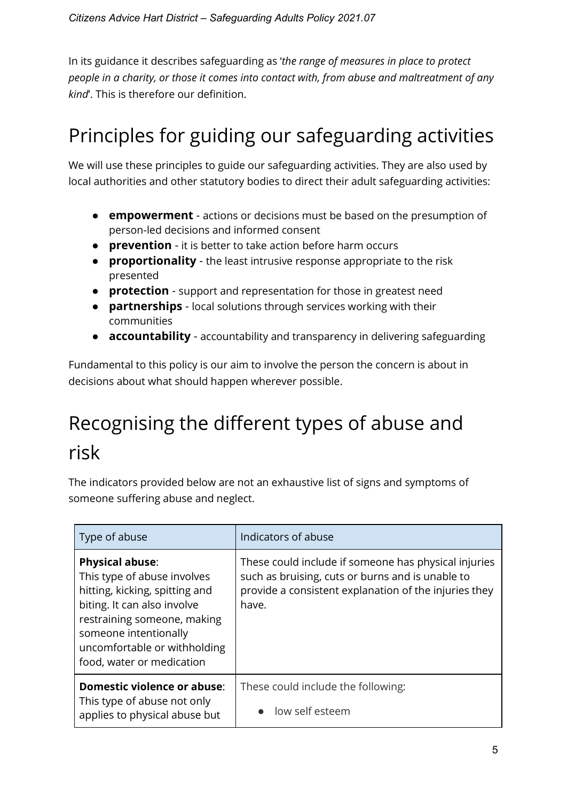In its guidance it describes safeguarding as '*the range of measures in place to protect people in a charity, or those it comes into contact with, from abuse and maltreatment of any kind*'. This is therefore our definition.

# Principles for guiding our safeguarding activities

We will use these principles to guide our safeguarding activities. They are also used by local authorities and other statutory bodies to direct their adult safeguarding activities:

- **empowerment** actions or decisions must be based on the presumption of person-led decisions and informed consent
- **prevention** it is better to take action before harm occurs
- **proportionality** the least intrusive response appropriate to the risk presented
- **protection** support and representation for those in greatest need
- **partnerships** local solutions through services working with their communities
- **accountability** accountability and transparency in delivering safeguarding

Fundamental to this policy is our aim to involve the person the concern is about in decisions about what should happen wherever possible.

# Recognising the different types of abuse and risk

The indicators provided below are not an exhaustive list of signs and symptoms of someone suffering abuse and neglect.

| Type of abuse                                                                                                                                                                                                                               | Indicators of abuse                                                                                                                                                        |
|---------------------------------------------------------------------------------------------------------------------------------------------------------------------------------------------------------------------------------------------|----------------------------------------------------------------------------------------------------------------------------------------------------------------------------|
| <b>Physical abuse:</b><br>This type of abuse involves<br>hitting, kicking, spitting and<br>biting. It can also involve<br>restraining someone, making<br>someone intentionally<br>uncomfortable or withholding<br>food, water or medication | These could include if someone has physical injuries<br>such as bruising, cuts or burns and is unable to<br>provide a consistent explanation of the injuries they<br>have. |
| Domestic violence or abuse:<br>This type of abuse not only<br>applies to physical abuse but                                                                                                                                                 | These could include the following:<br>low self esteem                                                                                                                      |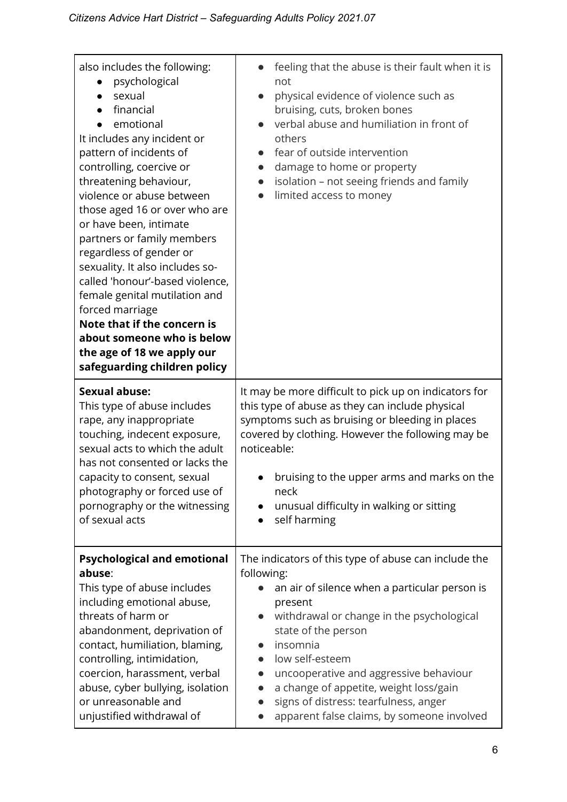| also includes the following:<br>psychological<br>sexual<br>financial<br>emotional<br>It includes any incident or<br>pattern of incidents of<br>controlling, coercive or<br>threatening behaviour,<br>violence or abuse between<br>those aged 16 or over who are<br>or have been, intimate<br>partners or family members<br>regardless of gender or<br>sexuality. It also includes so-<br>called 'honour'-based violence,<br>female genital mutilation and<br>forced marriage<br>Note that if the concern is<br>about someone who is below<br>the age of 18 we apply our<br>safeguarding children policy | feeling that the abuse is their fault when it is<br>not<br>physical evidence of violence such as<br>$\bullet$<br>bruising, cuts, broken bones<br>verbal abuse and humiliation in front of<br>others<br>fear of outside intervention<br>damage to home or property<br>$\bullet$<br>isolation - not seeing friends and family<br>$\bullet$<br>limited access to money                                                                                 |
|---------------------------------------------------------------------------------------------------------------------------------------------------------------------------------------------------------------------------------------------------------------------------------------------------------------------------------------------------------------------------------------------------------------------------------------------------------------------------------------------------------------------------------------------------------------------------------------------------------|-----------------------------------------------------------------------------------------------------------------------------------------------------------------------------------------------------------------------------------------------------------------------------------------------------------------------------------------------------------------------------------------------------------------------------------------------------|
| <b>Sexual abuse:</b><br>This type of abuse includes<br>rape, any inappropriate<br>touching, indecent exposure,<br>sexual acts to which the adult<br>has not consented or lacks the<br>capacity to consent, sexual<br>photography or forced use of<br>pornography or the witnessing<br>of sexual acts                                                                                                                                                                                                                                                                                                    | It may be more difficult to pick up on indicators for<br>this type of abuse as they can include physical<br>symptoms such as bruising or bleeding in places<br>covered by clothing. However the following may be<br>noticeable:<br>bruising to the upper arms and marks on the<br>neck<br>unusual difficulty in walking or sitting<br>$\bullet$<br>self harming<br>$\bullet$                                                                        |
| <b>Psychological and emotional</b><br>abuse:<br>This type of abuse includes<br>including emotional abuse,<br>threats of harm or<br>abandonment, deprivation of<br>contact, humiliation, blaming,<br>controlling, intimidation,<br>coercion, harassment, verbal<br>abuse, cyber bullying, isolation<br>or unreasonable and<br>unjustified withdrawal of                                                                                                                                                                                                                                                  | The indicators of this type of abuse can include the<br>following:<br>an air of silence when a particular person is<br>present<br>withdrawal or change in the psychological<br>$\bullet$<br>state of the person<br>insomnia<br>$\bullet$<br>low self-esteem<br>uncooperative and aggressive behaviour<br>a change of appetite, weight loss/gain<br>signs of distress: tearfulness, anger<br>$\bullet$<br>apparent false claims, by someone involved |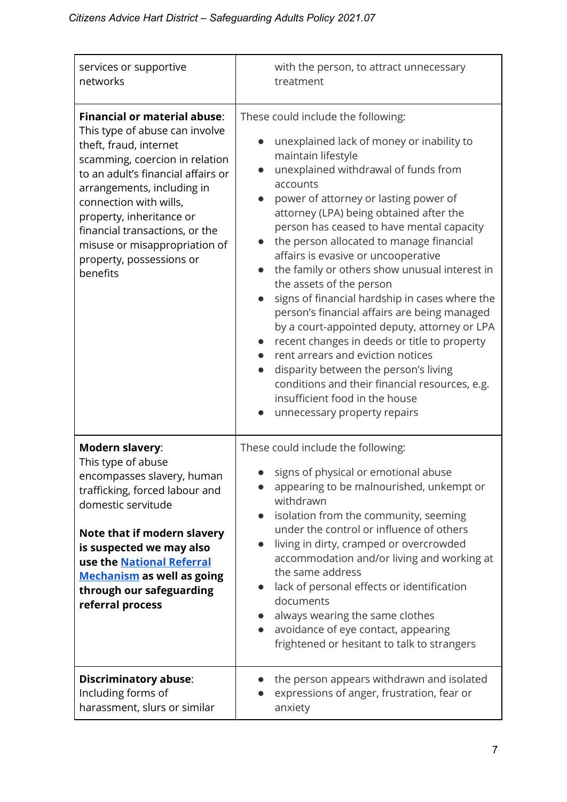| services or supportive                                                                                                                                                                                                                                                                                                                                                 | with the person, to attract unnecessary                                                                                                                                                                                                                                                                                                                                                                                                                                                                                                                                                                                                                                                                                                                                                                                                                        |
|------------------------------------------------------------------------------------------------------------------------------------------------------------------------------------------------------------------------------------------------------------------------------------------------------------------------------------------------------------------------|----------------------------------------------------------------------------------------------------------------------------------------------------------------------------------------------------------------------------------------------------------------------------------------------------------------------------------------------------------------------------------------------------------------------------------------------------------------------------------------------------------------------------------------------------------------------------------------------------------------------------------------------------------------------------------------------------------------------------------------------------------------------------------------------------------------------------------------------------------------|
| networks                                                                                                                                                                                                                                                                                                                                                               | treatment                                                                                                                                                                                                                                                                                                                                                                                                                                                                                                                                                                                                                                                                                                                                                                                                                                                      |
| <b>Financial or material abuse:</b><br>This type of abuse can involve<br>theft, fraud, internet<br>scamming, coercion in relation<br>to an adult's financial affairs or<br>arrangements, including in<br>connection with wills,<br>property, inheritance or<br>financial transactions, or the<br>misuse or misappropriation of<br>property, possessions or<br>benefits | These could include the following:<br>unexplained lack of money or inability to<br>maintain lifestyle<br>unexplained withdrawal of funds from<br>accounts<br>power of attorney or lasting power of<br>attorney (LPA) being obtained after the<br>person has ceased to have mental capacity<br>the person allocated to manage financial<br>affairs is evasive or uncooperative<br>the family or others show unusual interest in<br>the assets of the person<br>signs of financial hardship in cases where the<br>person's financial affairs are being managed<br>by a court-appointed deputy, attorney or LPA<br>recent changes in deeds or title to property<br>rent arrears and eviction notices<br>disparity between the person's living<br>conditions and their financial resources, e.g.<br>insufficient food in the house<br>unnecessary property repairs |
| <b>Modern slavery:</b><br>This type of abuse<br>encompasses slavery, human<br>trafficking, forced labour and<br>domestic servitude<br>Note that if modern slavery<br>is suspected we may also<br>use the National Referral<br><b>Mechanism</b> as well as going<br>through our safeguarding<br>referral process                                                        | These could include the following:<br>signs of physical or emotional abuse<br>appearing to be malnourished, unkempt or<br>withdrawn<br>isolation from the community, seeming<br>under the control or influence of others<br>living in dirty, cramped or overcrowded<br>$\bullet$<br>accommodation and/or living and working at<br>the same address<br>lack of personal effects or identification<br>$\bullet$<br>documents<br>always wearing the same clothes<br>avoidance of eye contact, appearing<br>$\bullet$<br>frightened or hesitant to talk to strangers                                                                                                                                                                                                                                                                                               |
| <b>Discriminatory abuse:</b>                                                                                                                                                                                                                                                                                                                                           | the person appears withdrawn and isolated                                                                                                                                                                                                                                                                                                                                                                                                                                                                                                                                                                                                                                                                                                                                                                                                                      |
| Including forms of                                                                                                                                                                                                                                                                                                                                                     | expressions of anger, frustration, fear or                                                                                                                                                                                                                                                                                                                                                                                                                                                                                                                                                                                                                                                                                                                                                                                                                     |
| harassment, slurs or similar                                                                                                                                                                                                                                                                                                                                           | anxiety                                                                                                                                                                                                                                                                                                                                                                                                                                                                                                                                                                                                                                                                                                                                                                                                                                                        |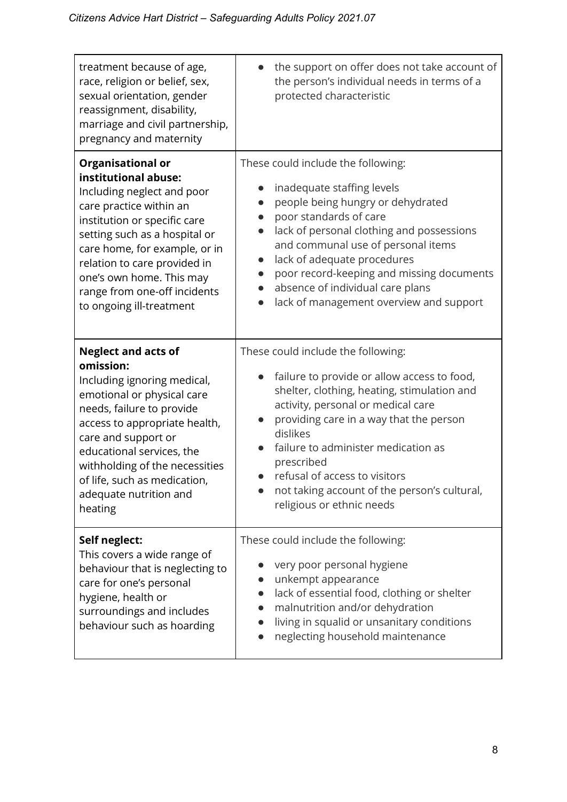| treatment because of age,<br>race, religion or belief, sex,<br>sexual orientation, gender<br>reassignment, disability,<br>marriage and civil partnership,<br>pregnancy and maternity | the support on offer does not take account of<br>$\bullet$<br>the person's individual needs in terms of a<br>protected characteristic |
|--------------------------------------------------------------------------------------------------------------------------------------------------------------------------------------|---------------------------------------------------------------------------------------------------------------------------------------|
| <b>Organisational or</b>                                                                                                                                                             | These could include the following:                                                                                                    |
| institutional abuse:                                                                                                                                                                 | inadequate staffing levels                                                                                                            |
| Including neglect and poor                                                                                                                                                           | people being hungry or dehydrated                                                                                                     |
| care practice within an                                                                                                                                                              | poor standards of care                                                                                                                |
| institution or specific care                                                                                                                                                         | lack of personal clothing and possessions                                                                                             |
| setting such as a hospital or                                                                                                                                                        | and communal use of personal items                                                                                                    |
| care home, for example, or in                                                                                                                                                        | lack of adequate procedures                                                                                                           |
| relation to care provided in                                                                                                                                                         | poor record-keeping and missing documents                                                                                             |
| one's own home. This may                                                                                                                                                             | absence of individual care plans                                                                                                      |
| range from one-off incidents                                                                                                                                                         | lack of management overview and support                                                                                               |
| to ongoing ill-treatment                                                                                                                                                             | $\bullet$                                                                                                                             |
| <b>Neglect and acts of</b>                                                                                                                                                           | These could include the following:                                                                                                    |
| omission:                                                                                                                                                                            | failure to provide or allow access to food,                                                                                           |
| Including ignoring medical,                                                                                                                                                          | $\bullet$                                                                                                                             |
| emotional or physical care                                                                                                                                                           | shelter, clothing, heating, stimulation and                                                                                           |
| needs, failure to provide                                                                                                                                                            | activity, personal or medical care                                                                                                    |
| access to appropriate health,                                                                                                                                                        | providing care in a way that the person                                                                                               |
| care and support or                                                                                                                                                                  | dislikes                                                                                                                              |
| educational services, the                                                                                                                                                            | failure to administer medication as                                                                                                   |
| withholding of the necessities                                                                                                                                                       | prescribed                                                                                                                            |
| of life, such as medication,                                                                                                                                                         | refusal of access to visitors                                                                                                         |
| adequate nutrition and                                                                                                                                                               | not taking account of the person's cultural,                                                                                          |
| heating                                                                                                                                                                              | religious or ethnic needs                                                                                                             |
| Self neglect:                                                                                                                                                                        | These could include the following:                                                                                                    |
| This covers a wide range of                                                                                                                                                          | very poor personal hygiene                                                                                                            |
| behaviour that is neglecting to                                                                                                                                                      | unkempt appearance                                                                                                                    |
| care for one's personal                                                                                                                                                              | lack of essential food, clothing or shelter                                                                                           |
| hygiene, health or                                                                                                                                                                   | malnutrition and/or dehydration                                                                                                       |
| surroundings and includes                                                                                                                                                            | living in squalid or unsanitary conditions                                                                                            |
| behaviour such as hoarding                                                                                                                                                           | neglecting household maintenance                                                                                                      |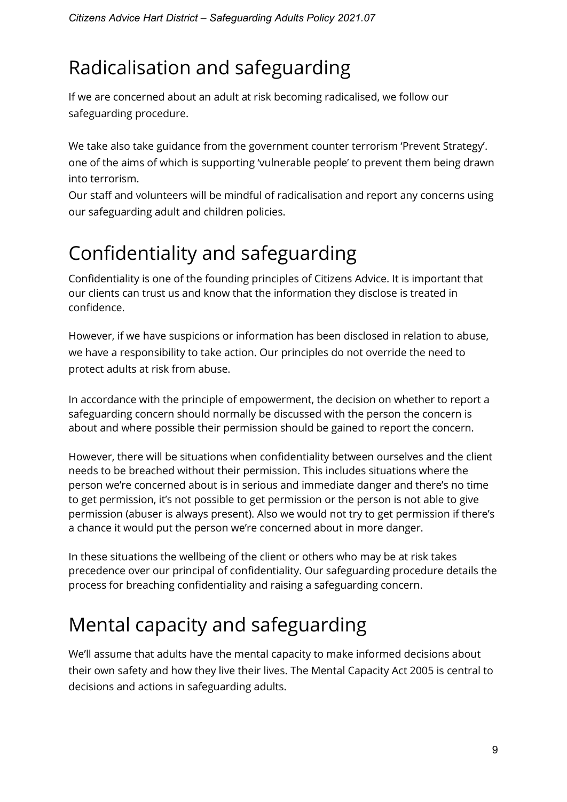# Radicalisation and safeguarding

If we are concerned about an adult at risk becoming radicalised, we follow our safeguarding procedure.

We take also take guidance from the government counter terrorism 'Prevent Strategy'. one of the aims of which is supporting 'vulnerable people' to prevent them being drawn into terrorism.

Our staff and volunteers will be mindful of radicalisation and report any concerns using our safeguarding adult and children policies.

# Confidentiality and safeguarding

Confidentiality is one of the founding principles of Citizens Advice. It is important that our clients can trust us and know that the information they disclose is treated in confidence.

However, if we have suspicions or information has been disclosed in relation to abuse, we have a responsibility to take action. Our principles do not override the need to protect adults at risk from abuse.

In accordance with the principle of empowerment, the decision on whether to report a safeguarding concern should normally be discussed with the person the concern is about and where possible their permission should be gained to report the concern.

However, there will be situations when confidentiality between ourselves and the client needs to be breached without their permission. This includes situations where the person we're concerned about is in serious and immediate danger and there's no time to get permission, it's not possible to get permission or the person is not able to give permission (abuser is always present). Also we would not try to get permission if there's a chance it would put the person we're concerned about in more danger.

In these situations the wellbeing of the client or others who may be at risk takes precedence over our principal of confidentiality. Our safeguarding procedure details the process for breaching confidentiality and raising a safeguarding concern.

# Mental capacity and safeguarding

We'll assume that adults have the mental capacity to make informed decisions about their own safety and how they live their lives. The Mental Capacity Act 2005 is central to decisions and actions in safeguarding adults.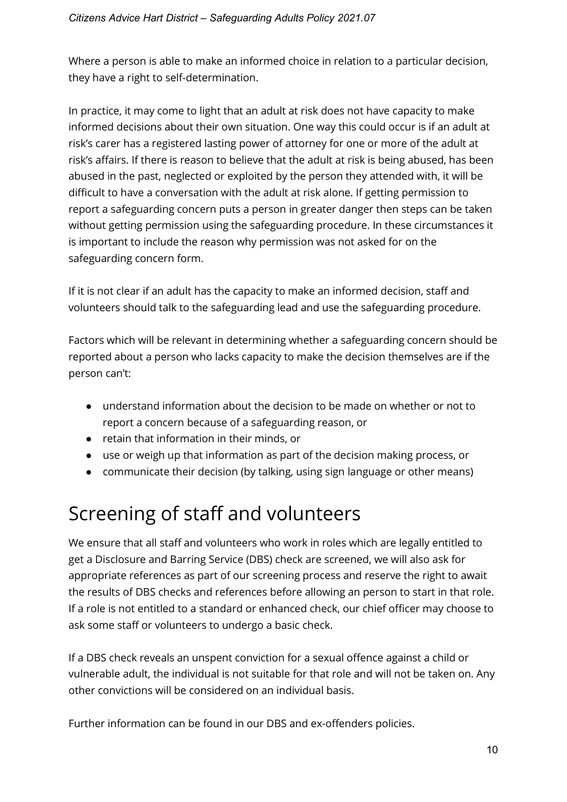Where a person is able to make an informed choice in relation to a particular decision, they have a right to self-determination.

In practice, it may come to light that an adult at risk does not have capacity to make informed decisions about their own situation. One way this could occur is if an adult at risk's carer has a registered lasting power of attorney for one or more of the adult at risk's affairs. If there is reason to believe that the adult at risk is being abused, has been abused in the past, neglected or exploited by the person they attended with, it will be difficult to have a conversation with the adult at risk alone. If getting permission to report a safeguarding concern puts a person in greater danger then steps can be taken without getting permission using the safeguarding procedure. In these circumstances it is important to include the reason why permission was not asked for on the safeguarding concern form.

If it is not clear if an adult has the capacity to make an informed decision, staff and volunteers should talk to the safeguarding lead and use the safeguarding procedure.

Factors which will be relevant in determining whether a safeguarding concern should be reported about a person who lacks capacity to make the decision themselves are if the person can't:

- understand information about the decision to be made on whether or not to report a concern because of a safeguarding reason, or
- retain that information in their minds, or
- use or weigh up that information as part of the decision making process, or
- communicate their decision (by talking, using sign language or other means)

## Screening of staff and volunteers

We ensure that all staff and volunteers who work in roles which are legally entitled to get a Disclosure and Barring Service (DBS) check are screened, we will also ask for appropriate references as part of our screening process and reserve the right to await the results of DBS checks and references before allowing an person to start in that role. If a role is not entitled to a standard or enhanced check, our chief officer may choose to ask some staff or volunteers to undergo a basic check.

If a DBS check reveals an unspent conviction for a sexual offence against a child or vulnerable adult, the individual is not suitable for that role and will not be taken on. Any other convictions will be considered on an individual basis.

Further information can be found in our DBS and ex-offenders policies.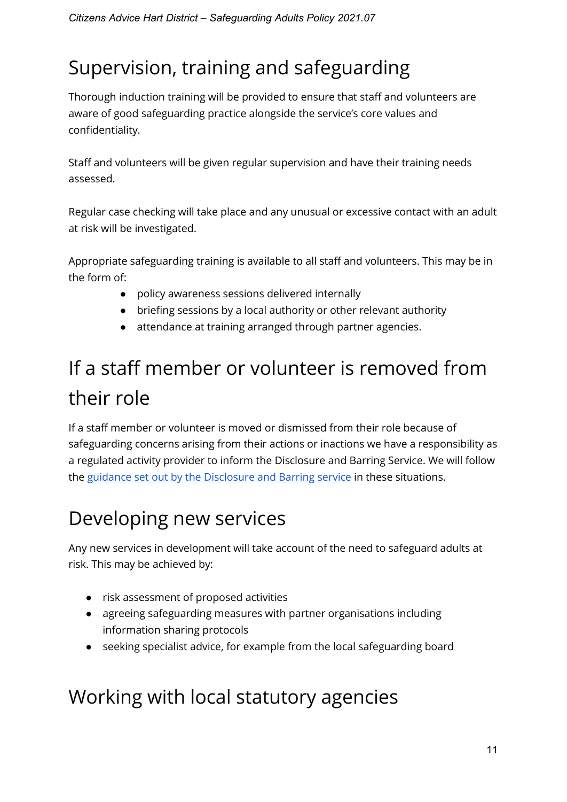# Supervision, training and safeguarding

Thorough induction training will be provided to ensure that staff and volunteers are aware of good safeguarding practice alongside the service's core values and confidentiality.

Staff and volunteers will be given regular supervision and have their training needs assessed.

Regular case checking will take place and any unusual or excessive contact with an adult at risk will be investigated.

Appropriate safeguarding training is available to all staff and volunteers. This may be in the form of:

- policy awareness sessions delivered internally
- briefing sessions by a local authority or other relevant authority
- attendance at training arranged through partner agencies.

# If a staff member or volunteer is removed from their role

If a staff member or volunteer is moved or dismissed from their role because of safeguarding concerns arising from their actions or inactions we have a responsibility as a regulated activity provider to inform the Disclosure and Barring Service. We will follow the [guidance set out by the Disclosure and Barring service](https://www.gov.uk/guidance/making-barring-referrals-to-the-dbs) in these situations.

## Developing new services

Any new services in development will take account of the need to safeguard adults at risk. This may be achieved by:

- risk assessment of proposed activities
- agreeing safeguarding measures with partner organisations including information sharing protocols
- seeking specialist advice, for example from the local safeguarding board

#### Working with local statutory agencies